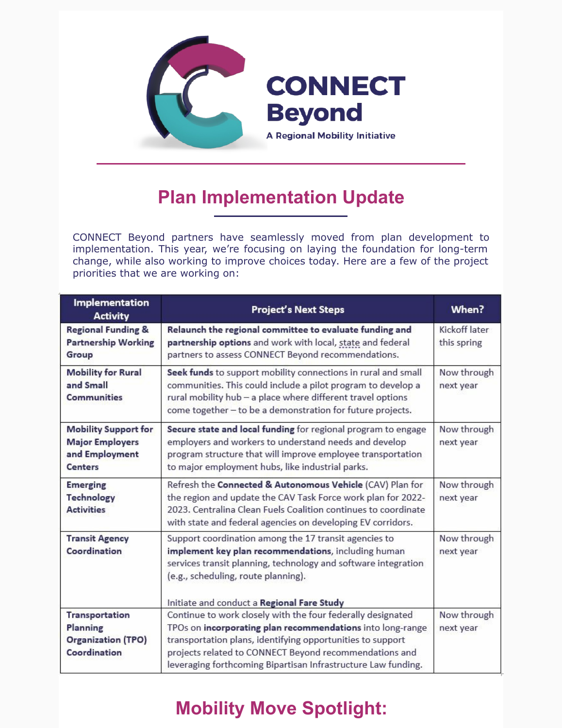

## **Plan Implementation Update**

CONNECT Beyond partners have seamlessly moved from plan development to implementation. This year, we're focusing on laying the foundation for long-term change, while also working to improve choices today. Here are a few of the project priorities that we are working on:

| <b>Implementation</b><br><b>Activity</b>                                                  | <b>Project's Next Steps</b>                                                                                                                                                                                                                                                                                                                                      | When?                        |
|-------------------------------------------------------------------------------------------|------------------------------------------------------------------------------------------------------------------------------------------------------------------------------------------------------------------------------------------------------------------------------------------------------------------------------------------------------------------|------------------------------|
| <b>Regional Funding &amp;</b><br><b>Partnership Working</b><br>Group                      | Relaunch the regional committee to evaluate funding and<br>partnership options and work with local, state and federal<br>partners to assess CONNECT Beyond recommendations.                                                                                                                                                                                      | Kickoff later<br>this spring |
| <b>Mobility for Rural</b><br>and Small<br><b>Communities</b>                              | Seek funds to support mobility connections in rural and small<br>communities. This could include a pilot program to develop a<br>rural mobility hub - a place where different travel options<br>come together - to be a demonstration for future projects.                                                                                                       | Now through<br>next year     |
| <b>Mobility Support for</b><br><b>Major Employers</b><br>and Employment<br><b>Centers</b> | Secure state and local funding for regional program to engage<br>employers and workers to understand needs and develop<br>program structure that will improve employee transportation<br>to major employment hubs, like industrial parks.                                                                                                                        | Now through<br>next year     |
| <b>Emerging</b><br><b>Technology</b><br><b>Activities</b>                                 | Refresh the Connected & Autonomous Vehicle (CAV) Plan for<br>the region and update the CAV Task Force work plan for 2022-<br>2023. Centralina Clean Fuels Coalition continues to coordinate<br>with state and federal agencies on developing EV corridors.                                                                                                       | Now through<br>next year     |
| <b>Transit Agency</b><br>Coordination                                                     | Support coordination among the 17 transit agencies to<br>implement key plan recommendations, including human<br>services transit planning, technology and software integration<br>(e.g., scheduling, route planning).                                                                                                                                            | Now through<br>next year     |
| <b>Transportation</b><br>Planning<br><b>Organization (TPO)</b><br>Coordination            | Initiate and conduct a Regional Fare Study<br>Continue to work closely with the four federally designated<br>TPOs on incorporating plan recommendations into long-range<br>transportation plans, identifying opportunities to support<br>projects related to CONNECT Beyond recommendations and<br>leveraging forthcoming Bipartisan Infrastructure Law funding. | Now through<br>next year     |

# **Mobility Move Spotlight:**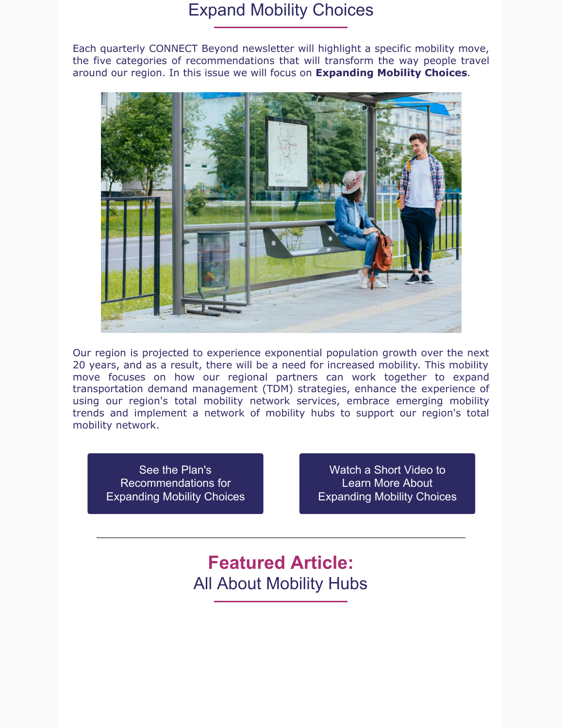### Expand Mobility Choices

Each quarterly CONNECT Beyond newsletter will highlight a specific mobility move, the five categories of recommendations that will transform the way people travel around our region. In this issue we will focus on **Expanding Mobility Choices**.



Our region is projected to experience exponential population growth over the next 20 years, and as a result, there will be a need for increased mobility. This mobility move focuses on how our regional partners can work together to expand transportation demand management (TDM) strategies, enhance the experience of using our region's total mobility network services, embrace emerging mobility trends and implement a network of mobility hubs to support our region's total mobility network.

See the Plan's [Recommendations](https://www.connect-beyond.com/mobility-moves/expand-mobility-choices/) for Expanding Mobility Choices

Watch a Short Video to Learn More About [Expanding](https://www.youtube.com/watch?v=v7dQ0jNnpG4&list=PLk_AOHpKm_jVNebc7hh4EtZkUVL4zuQxl&index=8) Mobility Choices

**Featured Article:** All About Mobility Hubs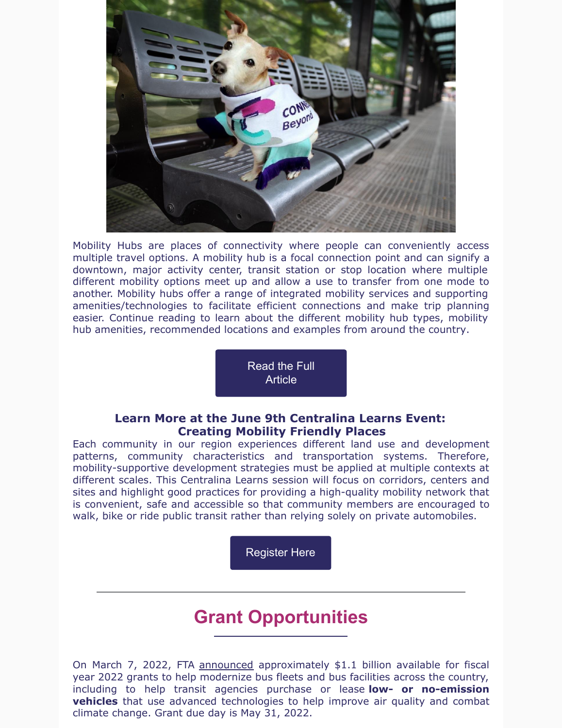

Mobility Hubs are places of connectivity where people can conveniently access multiple travel options. A mobility hub is a focal connection point and can signify a downtown, major activity center, transit station or stop location where multiple different mobility options meet up and allow a use to transfer from one mode to another. Mobility hubs offer a range of integrated mobility services and supporting amenities/technologies to facilitate efficient connections and make trip planning easier. Continue reading to learn about the different mobility hub types, mobility hub amenities, recommended locations and examples from around the country.

> Read the Full **[Article](https://centralina.org/the-latest/all-about-mobility-hubs/)**

#### **Learn More at the June 9th Centralina Learns Event: Creating Mobility Friendly Places**

Each community in our region experiences different land use and development patterns, community characteristics and transportation systems. Therefore, mobility-supportive development strategies must be applied at multiple contexts at different scales. This Centralina Learns session will focus on corridors, centers and sites and highlight good practices for providing a high-quality mobility network that is convenient, safe and accessible so that community members are encouraged to walk, bike or ride public transit rather than relying solely on private automobiles.

[Register](https://asoft200455.accrisoft.com/centralina/index.php?src=events&srctype=detail&category=Centralina Learns&refno=45&submenu=events) Here

## **Grant Opportunities**

On March 7, 2022, FTA [announced](https://www.transit.dot.gov/about/news/biden-harris-administration-and-us-department-transportation-announce-nearly-15-billion) approximately \$1.1 billion available for fiscal year 2022 grants to help modernize bus fleets and bus facilities across the country, including to help transit agencies purchase or lease **low- or no-emission vehicles** that use advanced technologies to help improve air quality and combat climate change. Grant due day is May 31, 2022.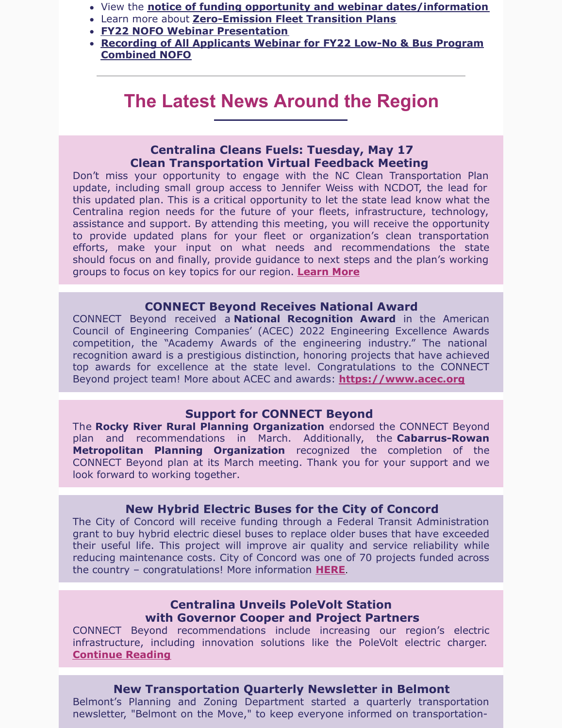- View the **notice of funding opportunity and webinar [dates/information](https://www.transit.dot.gov/notices-funding/low-or-no-emission-and-grants-buses-and-bus-facilities-competitive-programs-fy2022)**
- Learn more about **[Zero-Emission](https://www.transit.dot.gov/funding/grants/zero-emission-fleet-transition-plan) Fleet Transition Plans**
- **FY22 NOFO Webinar [Presentation](https://www.transit.dot.gov/grants/applying/fy2022-low-or-no-emission-and-bus-program-nofo-webinar)**
- **Recording of All [Applicants](https://teams.microsoft.com/l/meetup-join/19%3ameeting_NzJiN2U1ZWYtMjFmMi00YzI0LTk4MDMtYmZjYmUzMTFhY2M0%40thread.v2/0?context=%7b%22Tid%22%3a%22c4cd245b-44f0-4395-a1aa-3848d258f78b%22%2c%22Oid%22%3a%221199c198-647a-4108-8968-0793ab65b7d0%22%2c%22IsBroadcastMeeting%22%3atrue%7d&btype=a&role=a) Webinar for FY22 Low-No & Bus Program Combined NOFO**

### **The Latest News Around the Region**

#### **Centralina Cleans Fuels: Tuesday, May 17 Clean Transportation Virtual Feedback Meeting**

Don't miss your opportunity to engage with the NC Clean Transportation Plan update, including small group access to Jennifer Weiss with NCDOT, the lead for this updated plan. This is a critical opportunity to let the state lead know what the Centralina region needs for the future of your fleets, infrastructure, technology, assistance and support. By attending this meeting, you will receive the opportunity to provide updated plans for your fleet or organization's clean transportation efforts, make your input on what needs and recommendations the state should focus on and finally, provide guidance to next steps and the plan's working groups to focus on key topics for our region. **[Learn](https://files.constantcontact.com/8ff3c8ef001/9f101efa-c249-452a-bc3e-a64846dd470d.pdf?rdr=true) More**

#### **CONNECT Beyond Receives National Award**

CONNECT Beyond received a **National Recognition Award** in the American Council of Engineering Companies' (ACEC) 2022 Engineering Excellence Awards competition, the "Academy Awards of the engineering industry." The national recognition award is a prestigious distinction, honoring projects that have achieved top awards for excellence at the state level. Congratulations to the CONNECT Beyond project team! More about ACEC and awards: **[https://www.acec.org](https://www.acec.org/)**

#### **Support for CONNECT Beyond**

The **Rocky River Rural Planning Organization** endorsed the CONNECT Beyond plan and recommendations in March. Additionally, the **Cabarrus-Rowan Metropolitan Planning Organization** recognized the completion of the CONNECT Beyond plan at its March meeting. Thank you for your support and we look forward to working together.

#### **New Hybrid Electric Buses for the City of Concord**

The City of Concord will receive funding through a Federal Transit Administration grant to buy hybrid electric diesel buses to replace older buses that have exceeded their useful life. This project will improve air quality and service reliability while reducing maintenance costs. City of Concord was one of 70 projects funded across the country – congratulations! More information **[HERE](https://www.transit.dot.gov/funding/grants/fiscal-year-2021-buses-and-bus-facilities-projects)**.

#### **Centralina Unveils PoleVolt Station with Governor Cooper and Project Partners**

CONNECT Beyond recommendations include increasing our region's electric infrastructure, including innovation solutions like the PoleVolt electric charger. **[Continue](https://centralina.org/the-latest/centralina-unveils-polevolt-station-with-governor-cooper-and-project-partners/) Reading**

#### **New Transportation Quarterly Newsletter in Belmont**

Belmont's Planning and Zoning Department started a quarterly transportation newsletter, "Belmont on the Move," to keep everyone informed on transportation-